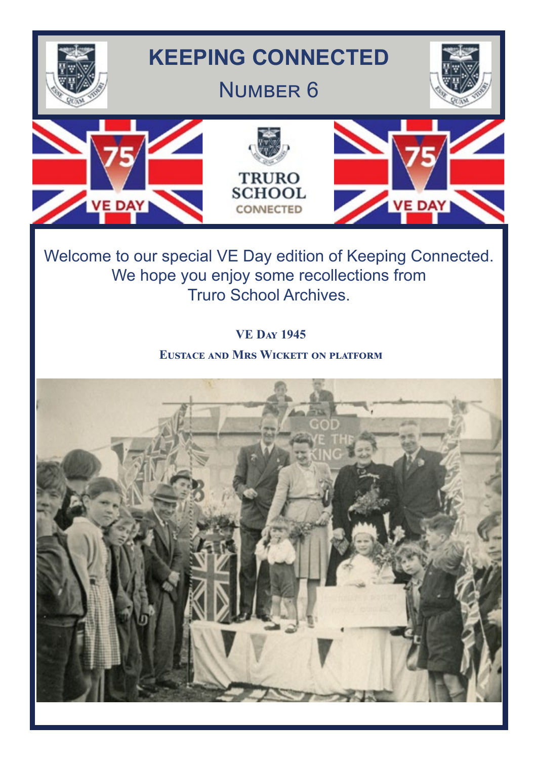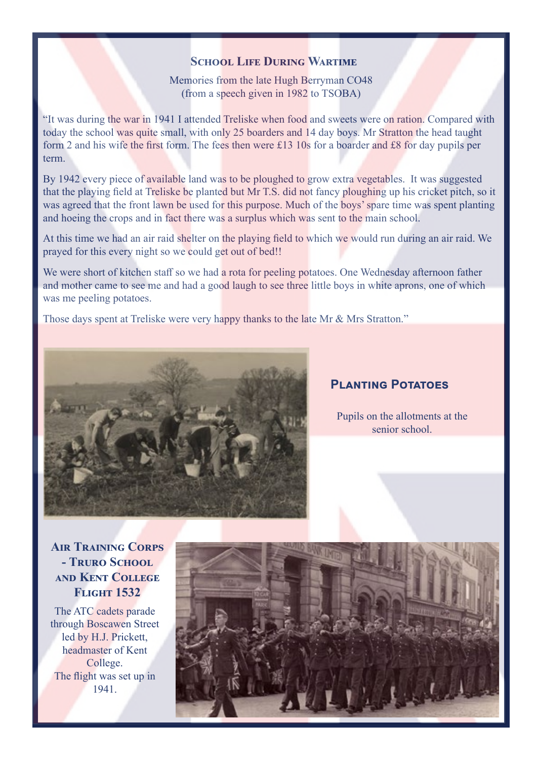#### **SCHOOL LIFE DURING WARTIME**

Memories from the late Hugh Berryman CO48 (from a speech given in 1982 to TSOBA)

"It was during the war in 1941 I attended Treliske when food and sweets were on ration. Compared with today the school was quite small, with only 25 boarders and 14 day boys. Mr Stratton the head taught form 2 and his wife the first form. The fees then were £13 10s for a boarder and £8 for day pupils per term.

By 1942 every piece of available land was to be ploughed to grow extra vegetables. It was suggested that the playing field at Treliske be planted but Mr T.S. did not fancy ploughing up his cricket pitch, so it was agreed that the front lawn be used for this purpose. Much of the boys' spare time was spent planting and hoeing the crops and in fact there was a surplus which was sent to the main school.

At this time we had an air raid shelter on the playing field to which we would run during an air raid. We prayed for this every night so we could get out of bed!!

We were short of kitchen staff so we had a rota for peeling potatoes. One Wednesday afternoon father and mother came to see me and had a good laugh to see three little boys in white aprons, one of which was me peeling potatoes.

Those days spent at Treliske were very happy thanks to the late Mr & Mrs Stratton."



# **Planting Potatoes**

Pupils on the allotments at the senior school.

**Air Training Corps - Truro School and Kent College Flight 1532** 

The ATC cadets parade through Boscawen Street led by H.J. Prickett, headmaster of Kent College. The flight was set up in 1941.

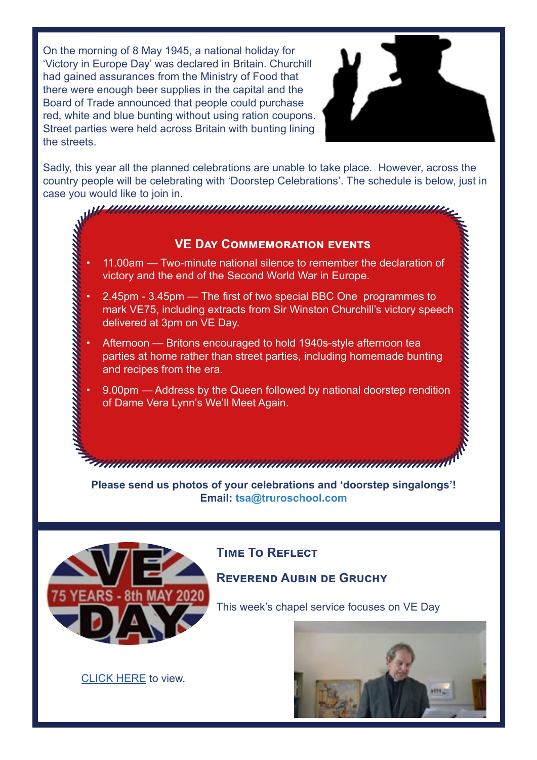On the morning of 8 May 1945, a national holiday for 'Victory in Europe Day' was declared in Britain. Churchill had gained assurances from the Ministry of Food that there were enough beer supplies in the capital and the Board of Trade announced that people could purchase red, white and blue bunting without using ration coupons. Street parties were held across Britain with bunting lining the streets.



anan mananan mananan manan

Sadly, this year all the planned celebrations are unable to take place. However, across the country people will be celebrating with 'Doorstep Celebrations'. The schedule is below, just in case you would like to join in.

#### **VE Day Commemoration events**

<u>r manmammammammammammammammam</u>

• 11.00am — Two-minute national silence to remember the declaration of victory and the end of the Second World War in Europe.

- 2.45pm 3.45pm The first of two special BBC One programmes to mark VE75, including extracts from Sir Winston Churchill's victory speech delivered at 3pm on VE Day.
- Afternoon Britons encouraged to hold 1940s-style afternoon tea parties at home rather than street parties, including homemade bunting and recipes from the era.
	- 9.00pm Address by the Queen followed by national doorstep rendition of Dame Vera Lynn's We'll Meet Again.

**Please send us photos of your celebrations and 'doorstep singalongs'! Email: tsa@truroschool.com** 



# **Time To Reflect**

**REVEREND AUBIN DE GRUCHY** 

This week's chapel service focuses on VE Day



[CLICK HERE](https://www.youtube.com/watch?v=Dy9dkWFfJa0&feature=youtu.be) to view.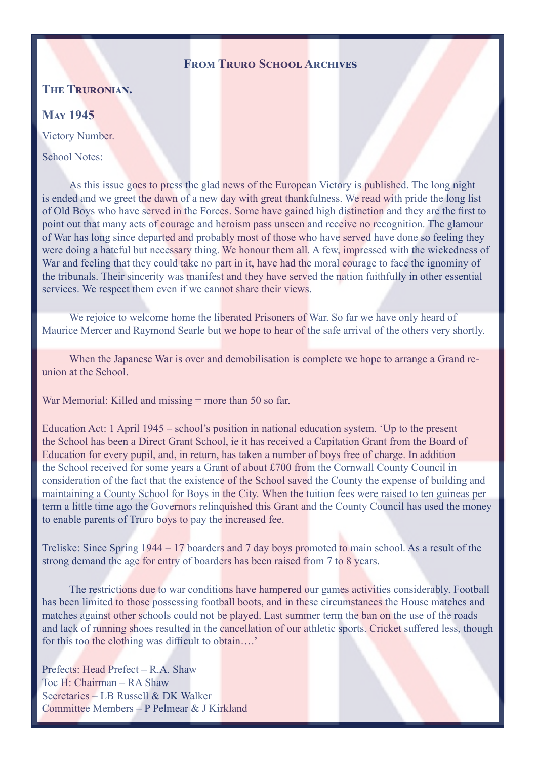#### **FROM TRURO SCHOOL ARCHIVES**

#### **The Truronian.**

#### **May 1945**

Victory Number.

School Notes:

As this issue goes to press the glad news of the European Victory is published. The long night is ended and we greet the dawn of a new day with great thankfulness. We read with pride the long list of Old Boys who have served in the Forces. Some have gained high distinction and they are the first to point out that many acts of courage and heroism pass unseen and receive no recognition. The glamour of War has long since departed and probably most of those who have served have done so feeling they were doing a hateful but necessary thing. We honour them all. A few, impressed with the wickedness of War and feeling that they could take no part in it, have had the moral courage to face the ignominy of the tribunals. Their sincerity was manifest and they have served the nation faithfully in other essential services. We respect them even if we cannot share their views.

We rejoice to welcome home the liberated Prisoners of War. So far we have only heard of Maurice Mercer and Raymond Searle but we hope to hear of the safe arrival of the others very shortly.

When the Japanese War is over and demobilisation is complete we hope to arrange a Grand reunion at the School.

War Memorial: Killed and missing = more than 50 so far.

Education Act: 1 April 1945 – school's position in national education system. 'Up to the present the School has been a Direct Grant School, ie it has received a Capitation Grant from the Board of Education for every pupil, and, in return, has taken a number of boys free of charge. In addition the School received for some years a Grant of about £700 from the Cornwall County Council in consideration of the fact that the existence of the School saved the County the expense of building and maintaining a County School for Boys in the City. When the tuition fees were raised to ten guineas per term a little time ago the Governors relinquished this Grant and the County Council has used the money to enable parents of Truro boys to pay the increased fee.

Treliske: Since Spring 1944 – 17 boarders and 7 day boys promoted to main school. As a result of the strong demand the age for entry of boarders has been raised from 7 to 8 years.

The restrictions due to war conditions have hampered our games activities considerably. Football has been limited to those possessing football boots, and in these circumstances the House matches and matches against other schools could not be played. Last summer term the ban on the use of the roads and lack of running shoes resulted in the cancellation of our athletic sports. Cricket suffered less, though for this too the clothing was difficult to obtain….'

Prefects: Head Prefect – R.A. Shaw Toc H: Chairman – RA Shaw Secretaries – LB Russell & DK Walker Committee Members – P Pelmear & J Kirkland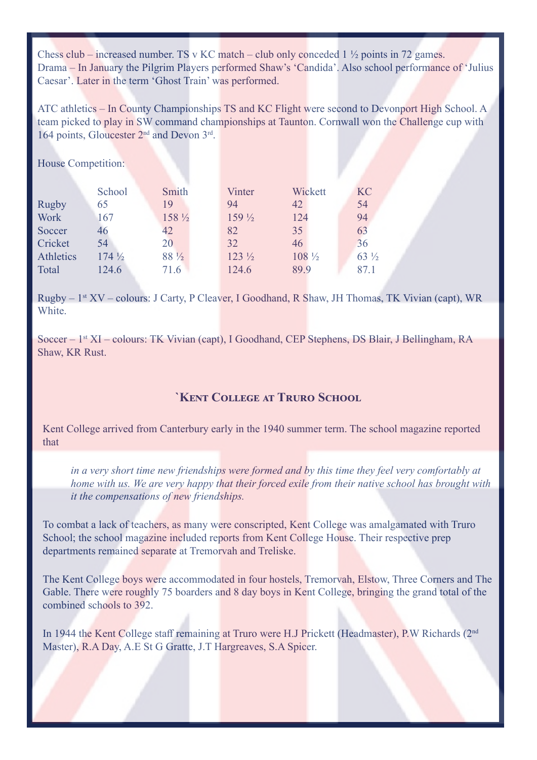Chess club – increased number. TS v KC match – club only conceded  $1\frac{1}{2}$  points in 72 games. Drama – In January the Pilgrim Players performed Shaw's 'Candida'. Also school performance of 'Julius Caesar'. Later in the term 'Ghost Train' was performed.

ATC athletics – In County Championships TS and KC Flight were second to Devonport High School. A team picked to play in SW command championships at Taunton. Cornwall won the Challenge cup with 164 points, Gloucester 2<sup>nd</sup> and Devon 3<sup>rd</sup>.

House Competition:

|              | School           | Smith   | Vinter           | Wickett          | <b>KC</b>       |
|--------------|------------------|---------|------------------|------------------|-----------------|
| <b>Rugby</b> | 65               | 19      | 94               | 42               | 54              |
| <b>Work</b>  | 167              | 158 1/2 | $159\frac{1}{2}$ | 124              | 94              |
| Soccer       | 46               | 42      | 82               | 35               | 63              |
| Cricket      | 54               | 20      | 32               | 46               | 36              |
| Athletics    | $174\frac{1}{2}$ | 88 1/2  | $123\frac{1}{2}$ | $108\frac{1}{2}$ | $63\frac{1}{2}$ |
| Total        | 124.6            | 71.6    | 124.6            | 89.9             | 87.1            |

Rugby – 1st XV – colours: J Carty, P Cleaver, I Goodhand, R Shaw, JH Thomas, TK Vivian (capt), WR White.

Soccer – 1st XI – colours: TK Vivian (capt), I Goodhand, CEP Stephens, DS Blair, J Bellingham, RA Shaw, KR Rust.

#### **`Kent College at Truro School**

Kent College arrived from Canterbury early in the 1940 summer term. The school magazine reported that

*in a very short time new friendships were formed and by this time they feel very comfortably at home with us. We are very happy that their forced exile from their native school has brought with it the compensations of new friendships.* 

To combat a lack of teachers, as many were conscripted, Kent College was amalgamated with Truro School; the school magazine included reports from Kent College House. Their respective prep departments remained separate at Tremorvah and Treliske.

The Kent College boys were accommodated in four hostels, Tremorvah, Elstow, Three Corners and The Gable. There were roughly 75 boarders and 8 day boys in Kent College, bringing the grand total of the combined schools to 392.

In 1944 the Kent College staff remaining at Truro were H.J Prickett (Headmaster), P.W Richards (2nd Master), R.A Day, A.E St G Gratte, J.T Hargreaves, S.A Spicer.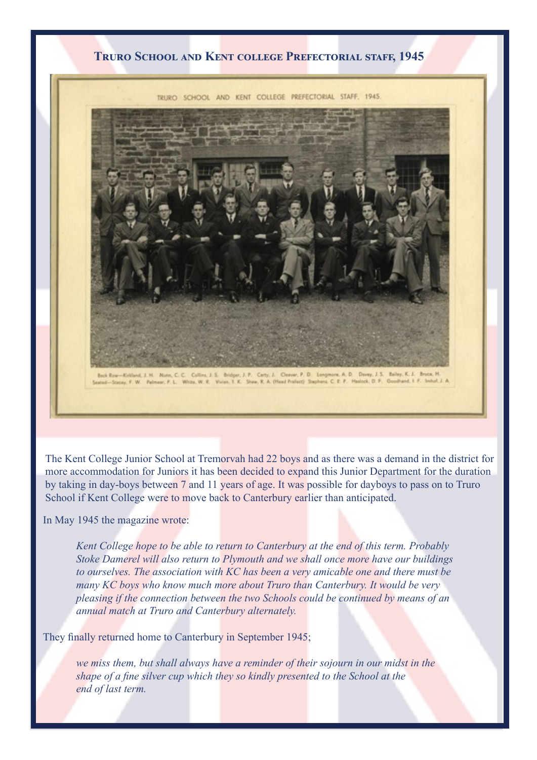#### **Truro School and Kent college Prefectorial staff, 1945**

TRURO SCHOOL AND KENT COLLEGE PREFECTORIAL STAFF, 1945.



The Kent College Junior School at Tremorvah had 22 boys and as there was a demand in the district for more accommodation for Juniors it has been decided to expand this Junior Department for the duration by taking in day-boys between 7 and 11 years of age. It was possible for dayboys to pass on to Truro School if Kent College were to move back to Canterbury earlier than anticipated.

In May 1945 the magazine wrote:

*Kent College hope to be able to return to Canterbury at the end of this term. Probably Stoke Damerel will also return to Plymouth and we shall once more have our buildings to ourselves. The association with KC has been a very amicable one and there must be many KC boys who know much more about Truro than Canterbury. It would be very pleasing if the connection between the two Schools could be continued by means of an annual match at Truro and Canterbury alternately.*

They finally returned home to Canterbury in September 1945;

*we miss them, but shall always have a reminder of their sojourn in our midst in the shape of a fine silver cup which they so kindly presented to the School at the end of last term.*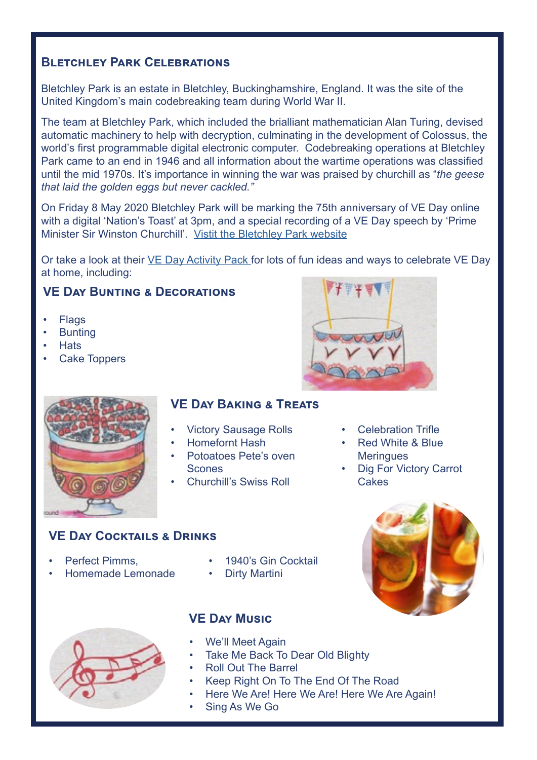# **Bletchley Park Celebration[s](http://BLETCHLEY PARK  Bletchley Park is an estate in Bletchley, Buckinghamshire, England. It was the site )**

[Bletchley Park is an estate in Bletchley, Buckinghamshire, England. It was the site of the](http://BLETCHLEY PARK  Bletchley Park is an estate in Bletchley, Buckinghamshire, England. It was the site )  [United Kingdom's main codebreaking team during World War II.](http://BLETCHLEY PARK  Bletchley Park is an estate in Bletchley, Buckinghamshire, England. It was the site ) 

The team at Bletchley Park, which included the brialliant mathematician Alan Turing, devised automatic machinery to help with decryption, culminating in the development of Colossus, the world's first programmable digital electronic computer. Codebreaking operations at Bletchley Park came to an end in 1946 and all information about the wartime operations was classified until the mid 1970s. It's importance in winning the war was praised by churchill as "*the geese that laid the golden eggs but never cackled."*

[On Friday 8 May 2020 Bletchley Park will be marking the 75th anniversary of VE Day online](http://On Friday 8 May 2020 Bletchley Park will be marking the 75th anniversary of VE Day online with a dig)  [with a digital 'Nation's Toast' at 3pm, and a special recording of a VE Day speech by 'Prime](http://On Friday 8 May 2020 Bletchley Park will be marking the 75th anniversary of VE Day online with a dig)  [Minister Sir Winston Churchill'.](http://On Friday 8 May 2020 Bletchley Park will be marking the 75th anniversary of VE Day online with a dig) [Vistit the Bletchley Park website](https://bletchleypark.org.uk/blog/celebrate-ve-day-at-home-with-bletchley-park)

Or take a look at their [VE Day Activity Pack](https://bletchleypark.org.uk/cms/2020/04/ve-day-activity-pack-3.pdf) for lots of fun ideas and ways to celebrate VE Day at home, including:

# **VE Day Bunting & Decorations**

- Flags
- **Bunting**
- Hats
- **Cake Toppers**



# **VE Day Baking & Treats**

- Victory Sausage Rolls
- Homefornt Hash
- Potoatoes Pete's oven Scones
- Churchill's Swiss Roll



- **Celebration Trifle**
- Red White & Blue **Meringues**
- **Dig For Victory Carrot Cakes**

# **VE Day Cocktails & Drinks**

- Perfect Pimms
- Homemade Lemonade
- 1940's Gin Cocktail
- Dirty Martini



# **VE Day Music**

- We'll Meet Again
- Take Me Back To Dear Old Blighty
- Roll Out The Barrel
- Keep Right On To The End Of The Road
- Here We Are! Here We Are! Here We Are Again!
- Sing As We Go

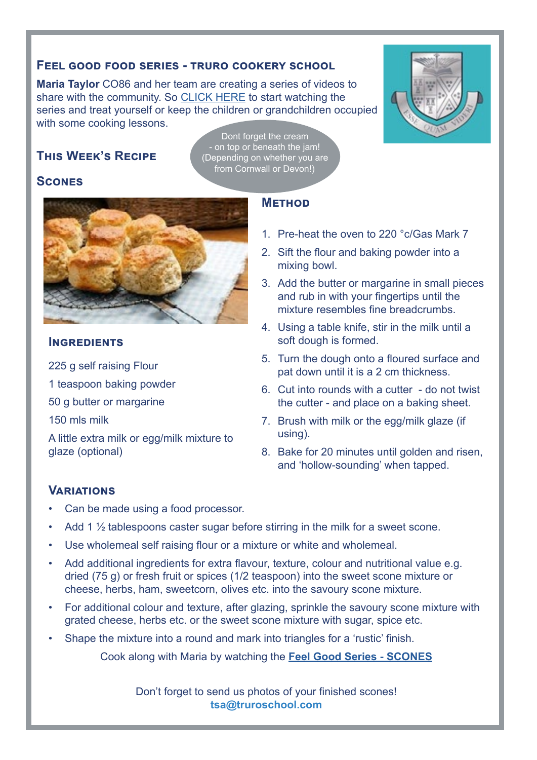#### **Feel good food series - truro cookery school**

**Maria Taylor** CO86 and her team are creating a series of videos to share with the community. So CLICK HERE to start watching the series and treat yourself or keep the children or grandchildren occupied with some cooking lessons.



Dont forget the cream - on top or beneath the jam! (Depending on whether you are from Cornwall or Devon!)

#### **Scones**



#### **Ingredients**

225 g self raising Flour

1 teaspoon baking powder

50 g butter or margarine

150 mls milk

A little extra milk or egg/milk mixture to glaze (optional)

# **Method**

- 1. Pre-heat the oven to 220 °c/Gas Mark 7
- 2. Sift the flour and baking powder into a mixing bowl.
- 3. Add the butter or margarine in small pieces and rub in with your fingertips until the mixture resembles fine breadcrumbs.
- 4. Using a table knife, stir in the milk until a soft dough is formed.
- 5. Turn the dough onto a floured surface and pat down until it is a 2 cm thickness.
- 6. Cut into rounds with a cutter do not twist the cutter - and place on a baking sheet.
- 7. Brush with milk or the egg/milk glaze (if using).
- 8. Bake for 20 minutes until golden and risen, and 'hollow-sounding' when tapped.

# **Variations**

- Can be made using a food processor.
- Add 1  $\frac{1}{2}$  tablespoons caster sugar before stirring in the milk for a sweet scone.
- Use wholemeal self raising flour or a mixture or white and wholemeal.
- Add additional ingredients for extra flavour, texture, colour and nutritional value e.g. dried (75 g) or fresh fruit or spices (1/2 teaspoon) into the sweet scone mixture or cheese, herbs, ham, sweetcorn, olives etc. into the savoury scone mixture.
- For additional colour and texture, after glazing, sprinkle the savoury scone mixture with grated cheese, herbs etc. or the sweet scone mixture with sugar, spice etc.
- Shape the mixture into a round and mark into triangles for a 'rustic' finish.

Cook along with Maria by watching the **[Feel Good Series - SCONES](https://www.facebook.com/truroschoolcookery/videos/549705002331768/)**

Don't forget to send us photos of your finished scones! **tsa@truroschool.com**